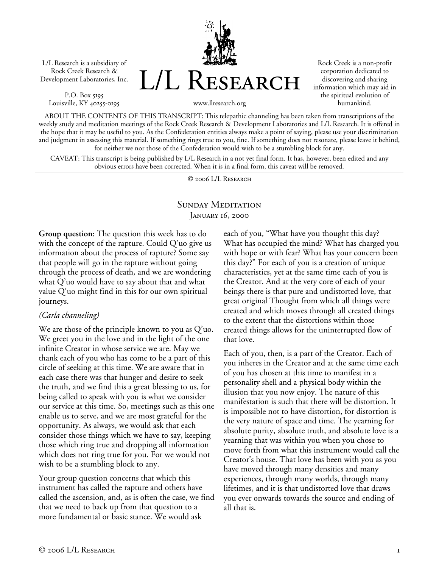L/L Research is a subsidiary of Rock Creek Research & Development Laboratories, Inc.

P.O. Box 5195 Louisville, KY 40255-0195 L/L Research

Rock Creek is a non-profit corporation dedicated to discovering and sharing information which may aid in the spiritual evolution of humankind.

ABOUT THE CONTENTS OF THIS TRANSCRIPT: This telepathic channeling has been taken from transcriptions of the weekly study and meditation meetings of the Rock Creek Research & Development Laboratories and L/L Research. It is offered in the hope that it may be useful to you. As the Confederation entities always make a point of saying, please use your discrimination and judgment in assessing this material. If something rings true to you, fine. If something does not resonate, please leave it behind, for neither we nor those of the Confederation would wish to be a stumbling block for any.

www.llresearch.org

CAVEAT: This transcript is being published by L/L Research in a not yet final form. It has, however, been edited and any obvious errors have been corrected. When it is in a final form, this caveat will be removed.

© 2006 L/L Research

## SUNDAY MEDITATION JANUARY 16, 2000

**Group question:** The question this week has to do with the concept of the rapture. Could Q'uo give us information about the process of rapture? Some say that people will go in the rapture without going through the process of death, and we are wondering what Q'uo would have to say about that and what value Q'uo might find in this for our own spiritual journeys.

## *(Carla channeling)*

We are those of the principle known to you as Q'uo. We greet you in the love and in the light of the one infinite Creator in whose service we are. May we thank each of you who has come to be a part of this circle of seeking at this time. We are aware that in each case there was that hunger and desire to seek the truth, and we find this a great blessing to us, for being called to speak with you is what we consider our service at this time. So, meetings such as this one enable us to serve, and we are most grateful for the opportunity. As always, we would ask that each consider those things which we have to say, keeping those which ring true and dropping all information which does not ring true for you. For we would not wish to be a stumbling block to any.

Your group question concerns that which this instrument has called the rapture and others have called the ascension, and, as is often the case, we find that we need to back up from that question to a more fundamental or basic stance. We would ask

each of you, "What have you thought this day? What has occupied the mind? What has charged you with hope or with fear? What has your concern been this day?" For each of you is a creation of unique characteristics, yet at the same time each of you is the Creator. And at the very core of each of your beings there is that pure and undistorted love, that great original Thought from which all things were created and which moves through all created things to the extent that the distortions within those created things allows for the uninterrupted flow of that love.

Each of you, then, is a part of the Creator. Each of you inheres in the Creator and at the same time each of you has chosen at this time to manifest in a personality shell and a physical body within the illusion that you now enjoy. The nature of this manifestation is such that there will be distortion. It is impossible not to have distortion, for distortion is the very nature of space and time. The yearning for absolute purity, absolute truth, and absolute love is a yearning that was within you when you chose to move forth from what this instrument would call the Creator's house. That love has been with you as you have moved through many densities and many experiences, through many worlds, through many lifetimes, and it is that undistorted love that draws you ever onwards towards the source and ending of all that is.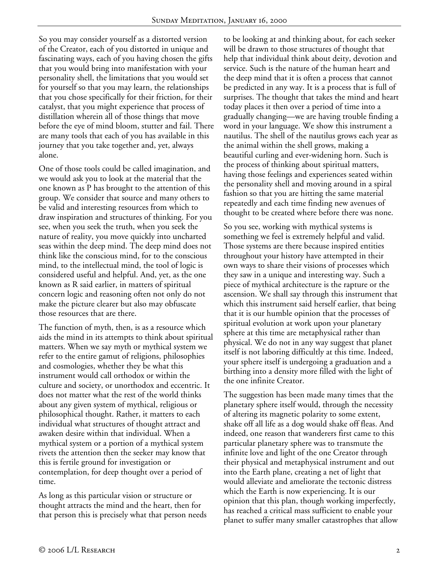So you may consider yourself as a distorted version of the Creator, each of you distorted in unique and fascinating ways, each of you having chosen the gifts that you would bring into manifestation with your personality shell, the limitations that you would set for yourself so that you may learn, the relationships that you chose specifically for their friction, for their catalyst, that you might experience that process of distillation wherein all of those things that move before the eye of mind bloom, stutter and fail. There are many tools that each of you has available in this journey that you take together and, yet, always alone.

One of those tools could be called imagination, and we would ask you to look at the material that the one known as P has brought to the attention of this group. We consider that source and many others to be valid and interesting resources from which to draw inspiration and structures of thinking. For you see, when you seek the truth, when you seek the nature of reality, you move quickly into uncharted seas within the deep mind. The deep mind does not think like the conscious mind, for to the conscious mind, to the intellectual mind, the tool of logic is considered useful and helpful. And, yet, as the one known as R said earlier, in matters of spiritual concern logic and reasoning often not only do not make the picture clearer but also may obfuscate those resources that are there.

The function of myth, then, is as a resource which aids the mind in its attempts to think about spiritual matters. When we say myth or mythical system we refer to the entire gamut of religions, philosophies and cosmologies, whether they be what this instrument would call orthodox or within the culture and society, or unorthodox and eccentric. It does not matter what the rest of the world thinks about any given system of mythical, religious or philosophical thought. Rather, it matters to each individual what structures of thought attract and awaken desire within that individual. When a mythical system or a portion of a mythical system rivets the attention then the seeker may know that this is fertile ground for investigation or contemplation, for deep thought over a period of time.

As long as this particular vision or structure or thought attracts the mind and the heart, then for that person this is precisely what that person needs to be looking at and thinking about, for each seeker will be drawn to those structures of thought that help that individual think about deity, devotion and service. Such is the nature of the human heart and the deep mind that it is often a process that cannot be predicted in any way. It is a process that is full of surprises. The thought that takes the mind and heart today places it then over a period of time into a gradually changing—we are having trouble finding a word in your language. We show this instrument a nautilus. The shell of the nautilus grows each year as the animal within the shell grows, making a beautiful curling and ever-widening horn. Such is the process of thinking about spiritual matters, having those feelings and experiences seated within the personality shell and moving around in a spiral fashion so that you are hitting the same material repeatedly and each time finding new avenues of thought to be created where before there was none.

So you see, working with mythical systems is something we feel is extremely helpful and valid. Those systems are there because inspired entities throughout your history have attempted in their own ways to share their visions of processes which they saw in a unique and interesting way. Such a piece of mythical architecture is the rapture or the ascension. We shall say through this instrument that which this instrument said herself earlier, that being that it is our humble opinion that the processes of spiritual evolution at work upon your planetary sphere at this time are metaphysical rather than physical. We do not in any way suggest that planet itself is not laboring difficultly at this time. Indeed, your sphere itself is undergoing a graduation and a birthing into a density more filled with the light of the one infinite Creator.

The suggestion has been made many times that the planetary sphere itself would, through the necessity of altering its magnetic polarity to some extent, shake off all life as a dog would shake off fleas. And indeed, one reason that wanderers first came to this particular planetary sphere was to transmute the infinite love and light of the one Creator through their physical and metaphysical instrument and out into the Earth plane, creating a net of light that would alleviate and ameliorate the tectonic distress which the Earth is now experiencing. It is our opinion that this plan, though working imperfectly, has reached a critical mass sufficient to enable your planet to suffer many smaller catastrophes that allow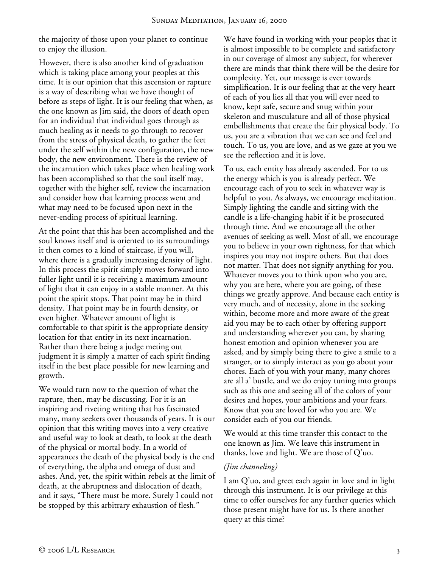the majority of those upon your planet to continue to enjoy the illusion.

However, there is also another kind of graduation which is taking place among your peoples at this time. It is our opinion that this ascension or rapture is a way of describing what we have thought of before as steps of light. It is our feeling that when, as the one known as Jim said, the doors of death open for an individual that individual goes through as much healing as it needs to go through to recover from the stress of physical death, to gather the feet under the self within the new configuration, the new body, the new environment. There is the review of the incarnation which takes place when healing work has been accomplished so that the soul itself may, together with the higher self, review the incarnation and consider how that learning process went and what may need to be focused upon next in the never-ending process of spiritual learning.

At the point that this has been accomplished and the soul knows itself and is oriented to its surroundings it then comes to a kind of staircase, if you will, where there is a gradually increasing density of light. In this process the spirit simply moves forward into fuller light until it is receiving a maximum amount of light that it can enjoy in a stable manner. At this point the spirit stops. That point may be in third density. That point may be in fourth density, or even higher. Whatever amount of light is comfortable to that spirit is the appropriate density location for that entity in its next incarnation. Rather than there being a judge meting out judgment it is simply a matter of each spirit finding itself in the best place possible for new learning and growth.

We would turn now to the question of what the rapture, then, may be discussing. For it is an inspiring and riveting writing that has fascinated many, many seekers over thousands of years. It is our opinion that this writing moves into a very creative and useful way to look at death, to look at the death of the physical or mortal body. In a world of appearances the death of the physical body is the end of everything, the alpha and omega of dust and ashes. And, yet, the spirit within rebels at the limit of death, at the abruptness and dislocation of death, and it says, "There must be more. Surely I could not be stopped by this arbitrary exhaustion of flesh."

We have found in working with your peoples that it is almost impossible to be complete and satisfactory in our coverage of almost any subject, for wherever there are minds that think there will be the desire for complexity. Yet, our message is ever towards simplification. It is our feeling that at the very heart of each of you lies all that you will ever need to know, kept safe, secure and snug within your skeleton and musculature and all of those physical embellishments that create the fair physical body. To us, you are a vibration that we can see and feel and touch. To us, you are love, and as we gaze at you we see the reflection and it is love.

To us, each entity has already ascended. For to us the energy which is you is already perfect. We encourage each of you to seek in whatever way is helpful to you. As always, we encourage meditation. Simply lighting the candle and sitting with the candle is a life-changing habit if it be prosecuted through time. And we encourage all the other avenues of seeking as well. Most of all, we encourage you to believe in your own rightness, for that which inspires you may not inspire others. But that does not matter. That does not signify anything for you. Whatever moves you to think upon who you are, why you are here, where you are going, of these things we greatly approve. And because each entity is very much, and of necessity, alone in the seeking within, become more and more aware of the great aid you may be to each other by offering support and understanding wherever you can, by sharing honest emotion and opinion whenever you are asked, and by simply being there to give a smile to a stranger, or to simply interact as you go about your chores. Each of you with your many, many chores are all a' bustle, and we do enjoy tuning into groups such as this one and seeing all of the colors of your desires and hopes, your ambitions and your fears. Know that you are loved for who you are. We consider each of you our friends.

We would at this time transfer this contact to the one known as Jim. We leave this instrument in thanks, love and light. We are those of Q'uo.

## *(Jim channeling)*

I am Q'uo, and greet each again in love and in light through this instrument. It is our privilege at this time to offer ourselves for any further queries which those present might have for us. Is there another query at this time?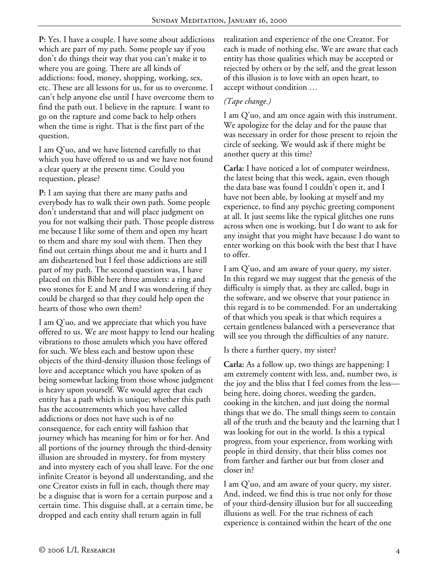**P:** Yes. I have a couple. I have some about addictions which are part of my path. Some people say if you don't do things their way that you can't make it to where you are going. There are all kinds of addictions: food, money, shopping, working, sex, etc. These are all lessons for us, for us to overcome. I can't help anyone else until I have overcome them to find the path out. I believe in the rapture. I want to go on the rapture and come back to help others when the time is right. That is the first part of the question.

I am Q'uo, and we have listened carefully to that which you have offered to us and we have not found a clear query at the present time. Could you requestion, please?

**P:** I am saying that there are many paths and everybody has to walk their own path. Some people don't understand that and will place judgment on you for not walking their path. Those people distress me because I like some of them and open my heart to them and share my soul with them. Then they find out certain things about me and it hurts and I am disheartened but I feel those addictions are still part of my path. The second question was, I have placed on this Bible here three amulets: a ring and two stones for E and M and I was wondering if they could be charged so that they could help open the hearts of those who own them?

I am Q'uo, and we appreciate that which you have offered to us. We are most happy to lend our healing vibrations to those amulets which you have offered for such. We bless each and bestow upon these objects of the third-density illusion those feelings of love and acceptance which you have spoken of as being somewhat lacking from those whose judgment is heavy upon yourself. We would agree that each entity has a path which is unique; whether this path has the accoutrements which you have called addictions or does not have such is of no consequence, for each entity will fashion that journey which has meaning for him or for her. And all portions of the journey through the third-density illusion are shrouded in mystery, for from mystery and into mystery each of you shall leave. For the one infinite Creator is beyond all understanding, and the one Creator exists in full in each, though there may be a disguise that is worn for a certain purpose and a certain time. This disguise shall, at a certain time, be dropped and each entity shall return again in full

realization and experience of the one Creator. For each is made of nothing else. We are aware that each entity has those qualities which may be accepted or rejected by others or by the self, and the great lesson of this illusion is to love with an open heart, to accept without condition …

## *(Tape change.)*

I am Q'uo, and am once again with this instrument. We apologize for the delay and for the pause that was necessary in order for those present to rejoin the circle of seeking. We would ask if there might be another query at this time?

**Carla:** I have noticed a lot of computer weirdness, the latest being that this week, again, even though the data base was found I couldn't open it, and I have not been able, by looking at myself and my experience, to find any psychic greeting component at all. It just seems like the typical glitches one runs across when one is working, but I do want to ask for any insight that you might have because I do want to enter working on this book with the best that I have to offer.

I am Q'uo, and am aware of your query, my sister. In this regard we may suggest that the genesis of the difficulty is simply that, as they are called, bugs in the software, and we observe that your patience in this regard is to be commended. For an undertaking of that which you speak is that which requires a certain gentleness balanced with a perseverance that will see you through the difficulties of any nature.

Is there a further query, my sister?

**Carla:** As a follow up, two things are happening: I am extremely content with less, and, number two, is the joy and the bliss that I feel comes from the less being here, doing chores, weeding the garden, cooking in the kitchen, and just doing the normal things that we do. The small things seem to contain all of the truth and the beauty and the learning that I was looking for out in the world. Is this a typical progress, from your experience, from working with people in third density, that their bliss comes not from farther and farther out but from closer and closer in?

I am Q'uo, and am aware of your query, my sister. And, indeed, we find this is true not only for those of your third-density illusion but for all succeeding illusions as well. For the true richness of each experience is contained within the heart of the one